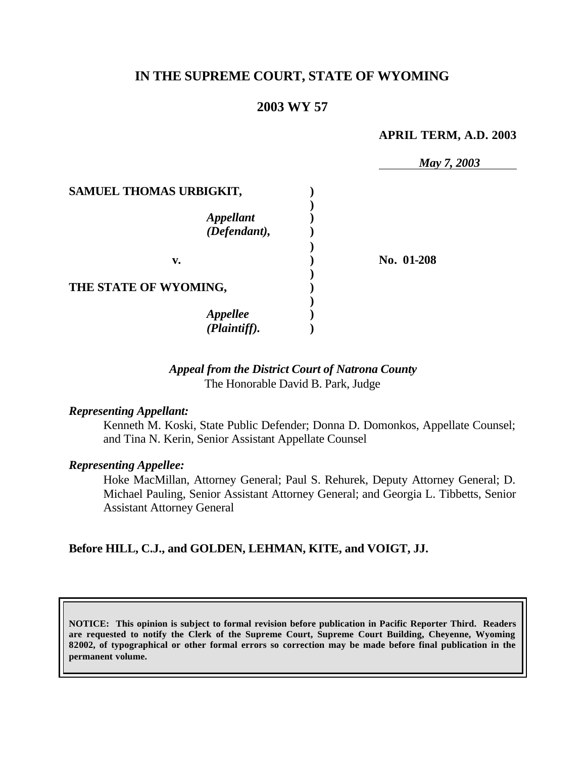# **IN THE SUPREME COURT, STATE OF WYOMING**

## **2003 WY 57**

#### **APRIL TERM, A.D. 2003**

|                           | May 7, 2003 |
|---------------------------|-------------|
| SAMUEL THOMAS URBIGKIT,   |             |
|                           |             |
|                           |             |
| Appellant<br>(Defendant), |             |
|                           |             |
| v.                        | No. 01-208  |
|                           |             |
| THE STATE OF WYOMING,     |             |
|                           |             |
| <b>Appellee</b>           |             |
| (Plaintiff).              |             |

### *Appeal from the District Court of Natrona County* The Honorable David B. Park, Judge

#### *Representing Appellant:*

Kenneth M. Koski, State Public Defender; Donna D. Domonkos, Appellate Counsel; and Tina N. Kerin, Senior Assistant Appellate Counsel

#### *Representing Appellee:*

Hoke MacMillan, Attorney General; Paul S. Rehurek, Deputy Attorney General; D. Michael Pauling, Senior Assistant Attorney General; and Georgia L. Tibbetts, Senior Assistant Attorney General

#### **Before HILL, C.J., and GOLDEN, LEHMAN, KITE, and VOIGT, JJ.**

**NOTICE: This opinion is subject to formal revision before publication in Pacific Reporter Third. Readers are requested to notify the Clerk of the Supreme Court, Supreme Court Building, Cheyenne, Wyoming 82002, of typographical or other formal errors so correction may be made before final publication in the permanent volume.**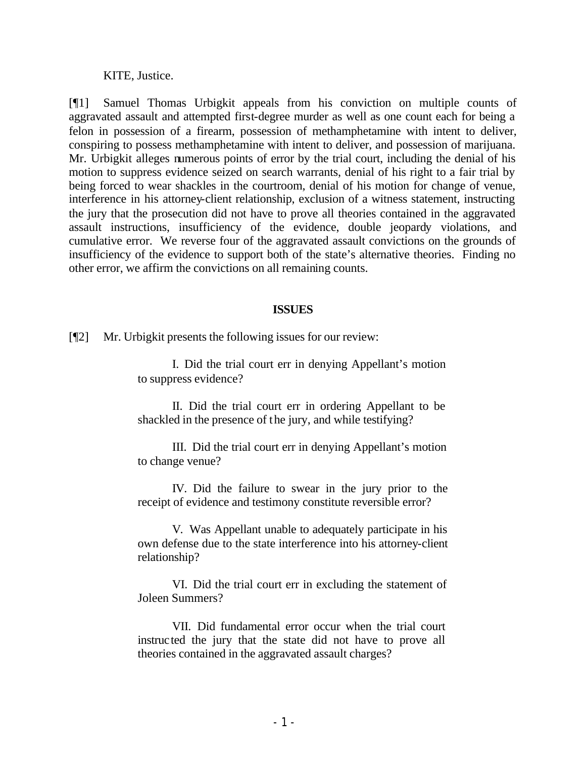#### KITE, Justice.

[¶1] Samuel Thomas Urbigkit appeals from his conviction on multiple counts of aggravated assault and attempted first-degree murder as well as one count each for being a felon in possession of a firearm, possession of methamphetamine with intent to deliver, conspiring to possess methamphetamine with intent to deliver, and possession of marijuana. Mr. Urbigkit alleges numerous points of error by the trial court, including the denial of his motion to suppress evidence seized on search warrants, denial of his right to a fair trial by being forced to wear shackles in the courtroom, denial of his motion for change of venue, interference in his attorney-client relationship, exclusion of a witness statement, instructing the jury that the prosecution did not have to prove all theories contained in the aggravated assault instructions, insufficiency of the evidence, double jeopardy violations, and cumulative error. We reverse four of the aggravated assault convictions on the grounds of insufficiency of the evidence to support both of the state's alternative theories. Finding no other error, we affirm the convictions on all remaining counts.

#### **ISSUES**

[¶2] Mr. Urbigkit presents the following issues for our review:

I. Did the trial court err in denying Appellant's motion to suppress evidence?

II. Did the trial court err in ordering Appellant to be shackled in the presence of the jury, and while testifying?

III. Did the trial court err in denying Appellant's motion to change venue?

IV. Did the failure to swear in the jury prior to the receipt of evidence and testimony constitute reversible error?

V. Was Appellant unable to adequately participate in his own defense due to the state interference into his attorney-client relationship?

VI. Did the trial court err in excluding the statement of Joleen Summers?

VII. Did fundamental error occur when the trial court instructed the jury that the state did not have to prove all theories contained in the aggravated assault charges?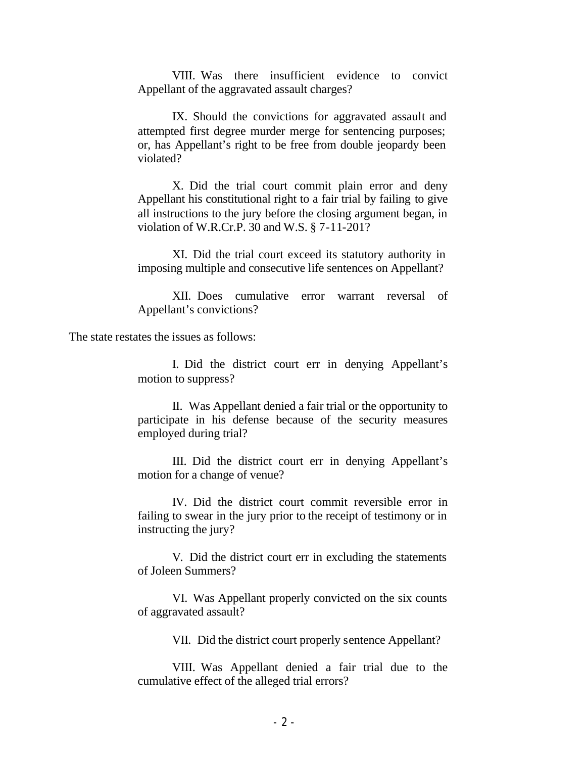VIII. Was there insufficient evidence to convict Appellant of the aggravated assault charges?

IX. Should the convictions for aggravated assault and attempted first degree murder merge for sentencing purposes; or, has Appellant's right to be free from double jeopardy been violated?

X. Did the trial court commit plain error and deny Appellant his constitutional right to a fair trial by failing to give all instructions to the jury before the closing argument began, in violation of W.R.Cr.P. 30 and W.S. § 7-11-201?

XI. Did the trial court exceed its statutory authority in imposing multiple and consecutive life sentences on Appellant?

XII. Does cumulative error warrant reversal of Appellant's convictions?

The state restates the issues as follows:

I. Did the district court err in denying Appellant's motion to suppress?

II. Was Appellant denied a fair trial or the opportunity to participate in his defense because of the security measures employed during trial?

III. Did the district court err in denying Appellant's motion for a change of venue?

IV. Did the district court commit reversible error in failing to swear in the jury prior to the receipt of testimony or in instructing the jury?

V. Did the district court err in excluding the statements of Joleen Summers?

VI. Was Appellant properly convicted on the six counts of aggravated assault?

VII. Did the district court properly sentence Appellant?

VIII. Was Appellant denied a fair trial due to the cumulative effect of the alleged trial errors?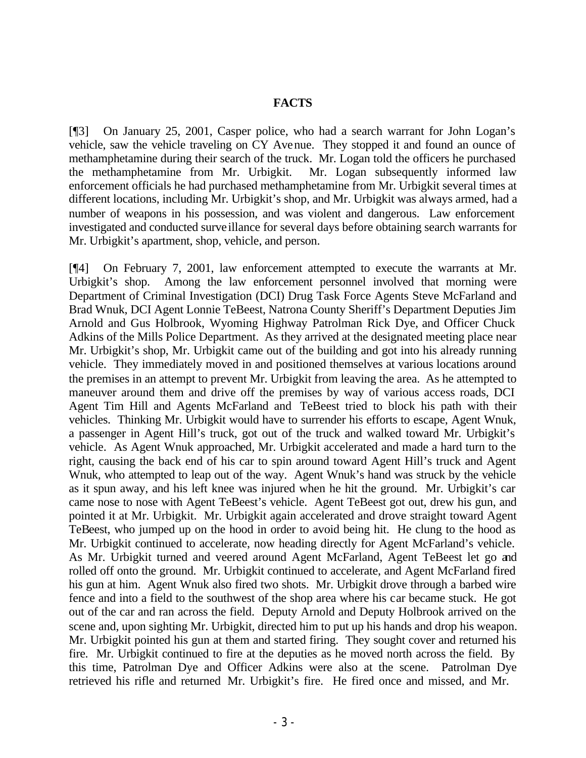#### **FACTS**

[¶3] On January 25, 2001, Casper police, who had a search warrant for John Logan's vehicle, saw the vehicle traveling on CY Avenue. They stopped it and found an ounce of methamphetamine during their search of the truck. Mr. Logan told the officers he purchased the methamphetamine from Mr. Urbigkit. Mr. Logan subsequently informed law enforcement officials he had purchased methamphetamine from Mr. Urbigkit several times at different locations, including Mr. Urbigkit's shop, and Mr. Urbigkit was always armed, had a number of weapons in his possession, and was violent and dangerous. Law enforcement investigated and conducted surveillance for several days before obtaining search warrants for Mr. Urbigkit's apartment, shop, vehicle, and person.

[¶4] On February 7, 2001, law enforcement attempted to execute the warrants at Mr. Urbigkit's shop. Among the law enforcement personnel involved that morning were Department of Criminal Investigation (DCI) Drug Task Force Agents Steve McFarland and Brad Wnuk, DCI Agent Lonnie TeBeest, Natrona County Sheriff's Department Deputies Jim Arnold and Gus Holbrook, Wyoming Highway Patrolman Rick Dye, and Officer Chuck Adkins of the Mills Police Department. As they arrived at the designated meeting place near Mr. Urbigkit's shop, Mr. Urbigkit came out of the building and got into his already running vehicle. They immediately moved in and positioned themselves at various locations around the premises in an attempt to prevent Mr. Urbigkit from leaving the area. As he attempted to maneuver around them and drive off the premises by way of various access roads, DCI Agent Tim Hill and Agents McFarland and TeBeest tried to block his path with their vehicles. Thinking Mr. Urbigkit would have to surrender his efforts to escape, Agent Wnuk, a passenger in Agent Hill's truck, got out of the truck and walked toward Mr. Urbigkit's vehicle. As Agent Wnuk approached, Mr. Urbigkit accelerated and made a hard turn to the right, causing the back end of his car to spin around toward Agent Hill's truck and Agent Wnuk, who attempted to leap out of the way. Agent Wnuk's hand was struck by the vehicle as it spun away, and his left knee was injured when he hit the ground. Mr. Urbigkit's car came nose to nose with Agent TeBeest's vehicle. Agent TeBeest got out, drew his gun, and pointed it at Mr. Urbigkit. Mr. Urbigkit again accelerated and drove straight toward Agent TeBeest, who jumped up on the hood in order to avoid being hit. He clung to the hood as Mr. Urbigkit continued to accelerate, now heading directly for Agent McFarland's vehicle. As Mr. Urbigkit turned and veered around Agent McFarland, Agent TeBeest let go and rolled off onto the ground. Mr. Urbigkit continued to accelerate, and Agent McFarland fired his gun at him. Agent Wnuk also fired two shots. Mr. Urbigkit drove through a barbed wire fence and into a field to the southwest of the shop area where his car became stuck. He got out of the car and ran across the field. Deputy Arnold and Deputy Holbrook arrived on the scene and, upon sighting Mr. Urbigkit, directed him to put up his hands and drop his weapon. Mr. Urbigkit pointed his gun at them and started firing. They sought cover and returned his fire. Mr. Urbigkit continued to fire at the deputies as he moved north across the field. By this time, Patrolman Dye and Officer Adkins were also at the scene. Patrolman Dye retrieved his rifle and returned Mr. Urbigkit's fire. He fired once and missed, and Mr.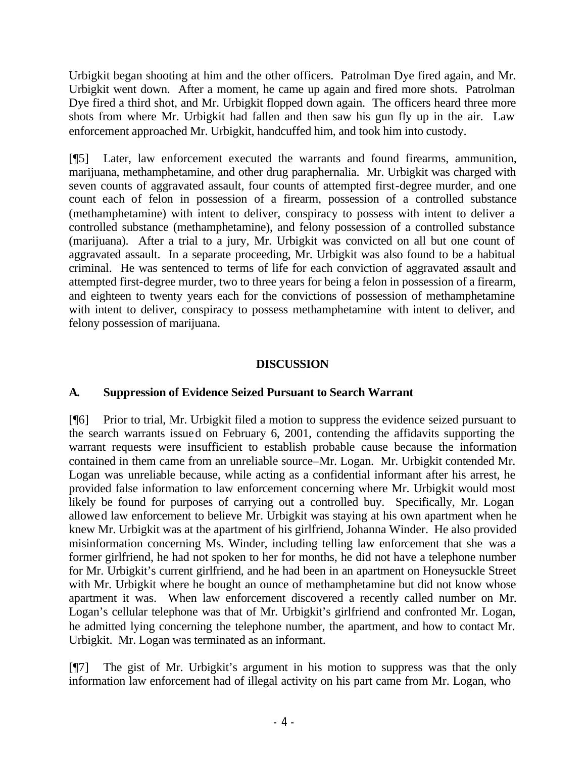Urbigkit began shooting at him and the other officers. Patrolman Dye fired again, and Mr. Urbigkit went down. After a moment, he came up again and fired more shots. Patrolman Dye fired a third shot, and Mr. Urbigkit flopped down again. The officers heard three more shots from where Mr. Urbigkit had fallen and then saw his gun fly up in the air. Law enforcement approached Mr. Urbigkit, handcuffed him, and took him into custody.

[¶5] Later, law enforcement executed the warrants and found firearms, ammunition, marijuana, methamphetamine, and other drug paraphernalia. Mr. Urbigkit was charged with seven counts of aggravated assault, four counts of attempted first-degree murder, and one count each of felon in possession of a firearm, possession of a controlled substance (methamphetamine) with intent to deliver, conspiracy to possess with intent to deliver a controlled substance (methamphetamine), and felony possession of a controlled substance (marijuana). After a trial to a jury, Mr. Urbigkit was convicted on all but one count of aggravated assault. In a separate proceeding, Mr. Urbigkit was also found to be a habitual criminal. He was sentenced to terms of life for each conviction of aggravated assault and attempted first-degree murder, two to three years for being a felon in possession of a firearm, and eighteen to twenty years each for the convictions of possession of methamphetamine with intent to deliver, conspiracy to possess methamphetamine with intent to deliver, and felony possession of marijuana.

## **DISCUSSION**

#### **A. Suppression of Evidence Seized Pursuant to Search Warrant**

[¶6] Prior to trial, Mr. Urbigkit filed a motion to suppress the evidence seized pursuant to the search warrants issued on February 6, 2001, contending the affidavits supporting the warrant requests were insufficient to establish probable cause because the information contained in them came from an unreliable source–Mr. Logan. Mr. Urbigkit contended Mr. Logan was unreliable because, while acting as a confidential informant after his arrest, he provided false information to law enforcement concerning where Mr. Urbigkit would most likely be found for purposes of carrying out a controlled buy. Specifically, Mr. Logan allowed law enforcement to believe Mr. Urbigkit was staying at his own apartment when he knew Mr. Urbigkit was at the apartment of his girlfriend, Johanna Winder. He also provided misinformation concerning Ms. Winder, including telling law enforcement that she was a former girlfriend, he had not spoken to her for months, he did not have a telephone number for Mr. Urbigkit's current girlfriend, and he had been in an apartment on Honeysuckle Street with Mr. Urbigkit where he bought an ounce of methamphetamine but did not know whose apartment it was. When law enforcement discovered a recently called number on Mr. Logan's cellular telephone was that of Mr. Urbigkit's girlfriend and confronted Mr. Logan, he admitted lying concerning the telephone number, the apartment, and how to contact Mr. Urbigkit. Mr. Logan was terminated as an informant.

[¶7] The gist of Mr. Urbigkit's argument in his motion to suppress was that the only information law enforcement had of illegal activity on his part came from Mr. Logan, who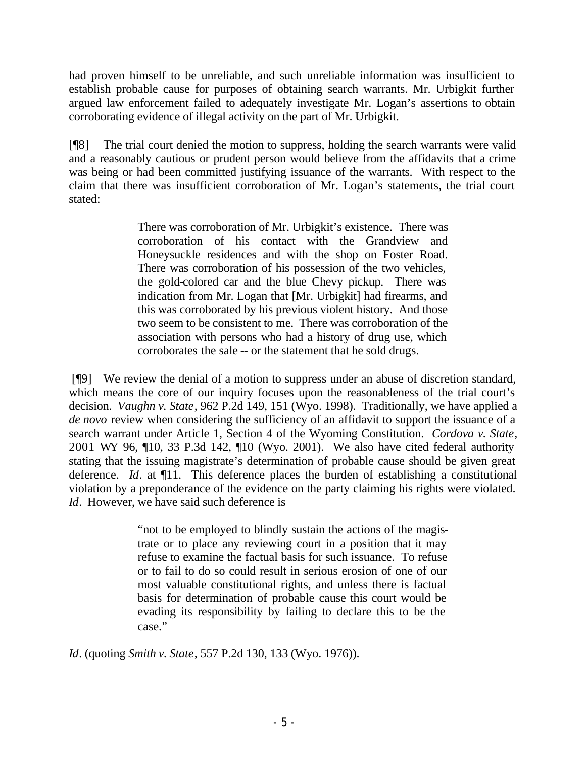had proven himself to be unreliable, and such unreliable information was insufficient to establish probable cause for purposes of obtaining search warrants. Mr. Urbigkit further argued law enforcement failed to adequately investigate Mr. Logan's assertions to obtain corroborating evidence of illegal activity on the part of Mr. Urbigkit.

[¶8] The trial court denied the motion to suppress, holding the search warrants were valid and a reasonably cautious or prudent person would believe from the affidavits that a crime was being or had been committed justifying issuance of the warrants. With respect to the claim that there was insufficient corroboration of Mr. Logan's statements, the trial court stated:

> There was corroboration of Mr. Urbigkit's existence. There was corroboration of his contact with the Grandview and Honeysuckle residences and with the shop on Foster Road. There was corroboration of his possession of the two vehicles, the gold-colored car and the blue Chevy pickup. There was indication from Mr. Logan that [Mr. Urbigkit] had firearms, and this was corroborated by his previous violent history. And those two seem to be consistent to me. There was corroboration of the association with persons who had a history of drug use, which corroborates the sale -- or the statement that he sold drugs.

 [¶9] We review the denial of a motion to suppress under an abuse of discretion standard, which means the core of our inquiry focuses upon the reasonableness of the trial court's decision. *Vaughn v. State*, 962 P.2d 149, 151 (Wyo. 1998). Traditionally, we have applied a *de novo* review when considering the sufficiency of an affidavit to support the issuance of a search warrant under Article 1, Section 4 of the Wyoming Constitution. *Cordova v. State*, 2001 WY 96, ¶10, 33 P.3d 142, ¶10 (Wyo. 2001). We also have cited federal authority stating that the issuing magistrate's determination of probable cause should be given great deference. *Id*. at ¶11. This deference places the burden of establishing a constitutional violation by a preponderance of the evidence on the party claiming his rights were violated. *Id.* However, we have said such deference is

> "not to be employed to blindly sustain the actions of the magistrate or to place any reviewing court in a position that it may refuse to examine the factual basis for such issuance. To refuse or to fail to do so could result in serious erosion of one of our most valuable constitutional rights, and unless there is factual basis for determination of probable cause this court would be evading its responsibility by failing to declare this to be the case."

*Id*. (quoting *Smith v. State*, 557 P.2d 130, 133 (Wyo. 1976)).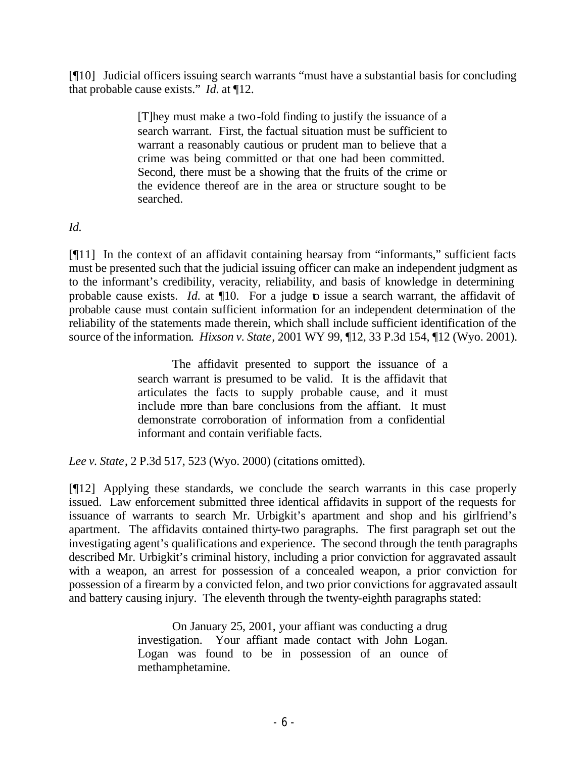[¶10] Judicial officers issuing search warrants "must have a substantial basis for concluding that probable cause exists." *Id.* at ¶12.

> [T]hey must make a two-fold finding to justify the issuance of a search warrant. First, the factual situation must be sufficient to warrant a reasonably cautious or prudent man to believe that a crime was being committed or that one had been committed. Second, there must be a showing that the fruits of the crime or the evidence thereof are in the area or structure sought to be searched.

## *Id.*

[¶11] In the context of an affidavit containing hearsay from "informants," sufficient facts must be presented such that the judicial issuing officer can make an independent judgment as to the informant's credibility, veracity, reliability, and basis of knowledge in determining probable cause exists. *Id.* at  $\P$ 10. For a judge to issue a search warrant, the affidavit of probable cause must contain sufficient information for an independent determination of the reliability of the statements made therein, which shall include sufficient identification of the source of the information. *Hixson v. State*, 2001 WY 99, ¶12, 33 P.3d 154, ¶12 (Wyo. 2001).

> The affidavit presented to support the issuance of a search warrant is presumed to be valid. It is the affidavit that articulates the facts to supply probable cause, and it must include more than bare conclusions from the affiant. It must demonstrate corroboration of information from a confidential informant and contain verifiable facts.

*Lee v. State*, 2 P.3d 517, 523 (Wyo. 2000) (citations omitted).

[¶12] Applying these standards, we conclude the search warrants in this case properly issued. Law enforcement submitted three identical affidavits in support of the requests for issuance of warrants to search Mr. Urbigkit's apartment and shop and his girlfriend's apartment. The affidavits contained thirty-two paragraphs. The first paragraph set out the investigating agent's qualifications and experience. The second through the tenth paragraphs described Mr. Urbigkit's criminal history, including a prior conviction for aggravated assault with a weapon, an arrest for possession of a concealed weapon, a prior conviction for possession of a firearm by a convicted felon, and two prior convictions for aggravated assault and battery causing injury. The eleventh through the twenty-eighth paragraphs stated:

> On January 25, 2001, your affiant was conducting a drug investigation. Your affiant made contact with John Logan. Logan was found to be in possession of an ounce of methamphetamine.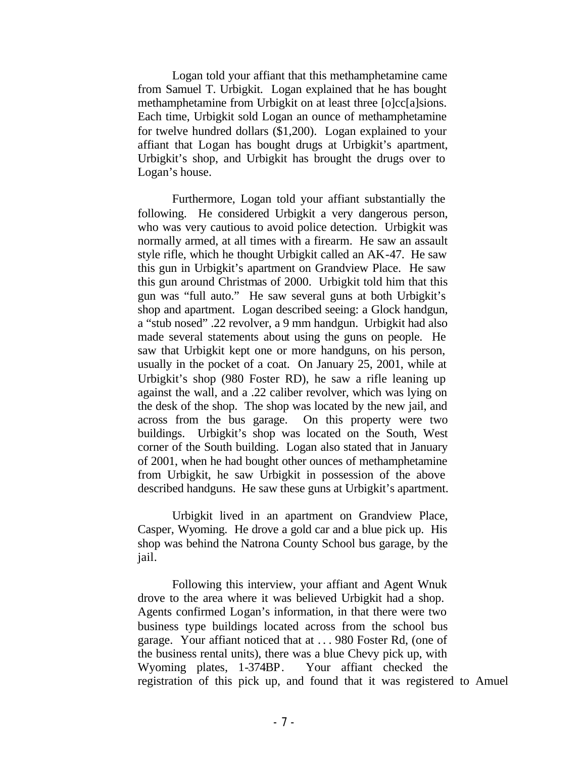Logan told your affiant that this methamphetamine came from Samuel T. Urbigkit. Logan explained that he has bought methamphetamine from Urbigkit on at least three [o]cc[a]sions. Each time, Urbigkit sold Logan an ounce of methamphetamine for twelve hundred dollars (\$1,200). Logan explained to your affiant that Logan has bought drugs at Urbigkit's apartment, Urbigkit's shop, and Urbigkit has brought the drugs over to Logan's house.

Furthermore, Logan told your affiant substantially the following. He considered Urbigkit a very dangerous person, who was very cautious to avoid police detection. Urbigkit was normally armed, at all times with a firearm. He saw an assault style rifle, which he thought Urbigkit called an AK-47. He saw this gun in Urbigkit's apartment on Grandview Place. He saw this gun around Christmas of 2000. Urbigkit told him that this gun was "full auto." He saw several guns at both Urbigkit's shop and apartment. Logan described seeing: a Glock handgun, a "stub nosed" .22 revolver, a 9 mm handgun. Urbigkit had also made several statements about using the guns on people. He saw that Urbigkit kept one or more handguns, on his person, usually in the pocket of a coat. On January 25, 2001, while at Urbigkit's shop (980 Foster RD), he saw a rifle leaning up against the wall, and a .22 caliber revolver, which was lying on the desk of the shop. The shop was located by the new jail, and across from the bus garage. On this property were two buildings. Urbigkit's shop was located on the South, West corner of the South building. Logan also stated that in January of 2001, when he had bought other ounces of methamphetamine from Urbigkit, he saw Urbigkit in possession of the above described handguns. He saw these guns at Urbigkit's apartment.

Urbigkit lived in an apartment on Grandview Place, Casper, Wyoming. He drove a gold car and a blue pick up. His shop was behind the Natrona County School bus garage, by the jail.

Following this interview, your affiant and Agent Wnuk drove to the area where it was believed Urbigkit had a shop. Agents confirmed Logan's information, in that there were two business type buildings located across from the school bus garage. Your affiant noticed that at . . . 980 Foster Rd, (one of the business rental units), there was a blue Chevy pick up, with Wyoming plates, 1-374BP. Your affiant checked the registration of this pick up, and found that it was registered to Amuel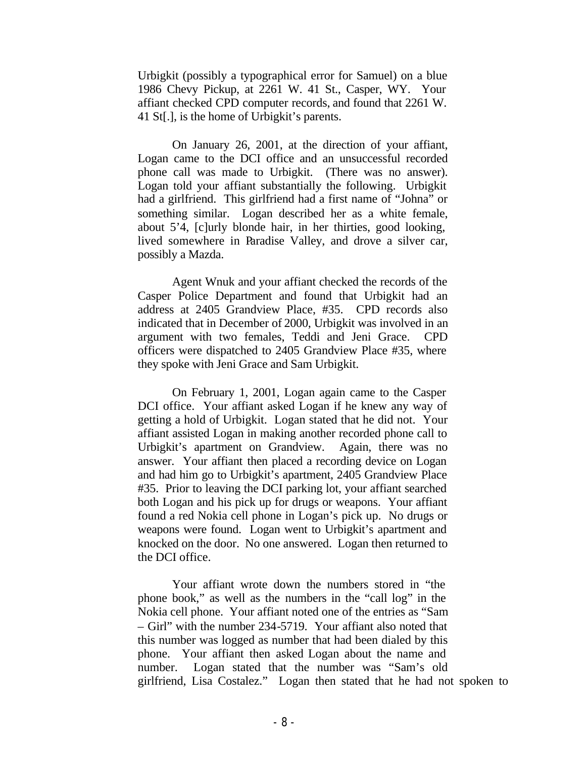Urbigkit (possibly a typographical error for Samuel) on a blue 1986 Chevy Pickup, at 2261 W. 41 St., Casper, WY. Your affiant checked CPD computer records, and found that 2261 W. 41 St[.], is the home of Urbigkit's parents.

On January 26, 2001, at the direction of your affiant, Logan came to the DCI office and an unsuccessful recorded phone call was made to Urbigkit. (There was no answer). Logan told your affiant substantially the following. Urbigkit had a girlfriend. This girlfriend had a first name of "Johna" or something similar. Logan described her as a white female, about 5'4, [c]urly blonde hair, in her thirties, good looking, lived somewhere in Paradise Valley, and drove a silver car, possibly a Mazda.

Agent Wnuk and your affiant checked the records of the Casper Police Department and found that Urbigkit had an address at 2405 Grandview Place, #35. CPD records also indicated that in December of 2000, Urbigkit was involved in an argument with two females, Teddi and Jeni Grace. CPD officers were dispatched to 2405 Grandview Place #35, where they spoke with Jeni Grace and Sam Urbigkit.

On February 1, 2001, Logan again came to the Casper DCI office. Your affiant asked Logan if he knew any way of getting a hold of Urbigkit. Logan stated that he did not. Your affiant assisted Logan in making another recorded phone call to Urbigkit's apartment on Grandview. Again, there was no answer. Your affiant then placed a recording device on Logan and had him go to Urbigkit's apartment, 2405 Grandview Place #35. Prior to leaving the DCI parking lot, your affiant searched both Logan and his pick up for drugs or weapons. Your affiant found a red Nokia cell phone in Logan's pick up. No drugs or weapons were found. Logan went to Urbigkit's apartment and knocked on the door. No one answered. Logan then returned to the DCI office.

Your affiant wrote down the numbers stored in "the phone book," as well as the numbers in the "call log" in the Nokia cell phone. Your affiant noted one of the entries as "Sam – Girl" with the number 234-5719. Your affiant also noted that this number was logged as number that had been dialed by this phone. Your affiant then asked Logan about the name and number. Logan stated that the number was "Sam's old girlfriend, Lisa Costalez." Logan then stated that he had not spoken to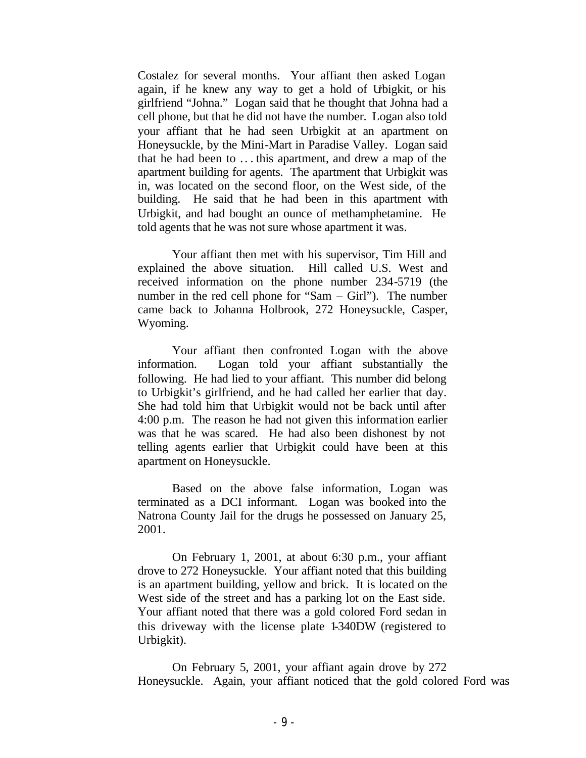Costalez for several months. Your affiant then asked Logan again, if he knew any way to get a hold of Urbigkit, or his girlfriend "Johna." Logan said that he thought that Johna had a cell phone, but that he did not have the number. Logan also told your affiant that he had seen Urbigkit at an apartment on Honeysuckle, by the Mini-Mart in Paradise Valley. Logan said that he had been to .. . this apartment, and drew a map of the apartment building for agents. The apartment that Urbigkit was in, was located on the second floor, on the West side, of the building. He said that he had been in this apartment with Urbigkit, and had bought an ounce of methamphetamine. He told agents that he was not sure whose apartment it was.

Your affiant then met with his supervisor, Tim Hill and explained the above situation. Hill called U.S. West and received information on the phone number 234-5719 (the number in the red cell phone for "Sam – Girl"). The number came back to Johanna Holbrook, 272 Honeysuckle, Casper, Wyoming.

Your affiant then confronted Logan with the above information. Logan told your affiant substantially the following. He had lied to your affiant. This number did belong to Urbigkit's girlfriend, and he had called her earlier that day. She had told him that Urbigkit would not be back until after 4:00 p.m. The reason he had not given this information earlier was that he was scared. He had also been dishonest by not telling agents earlier that Urbigkit could have been at this apartment on Honeysuckle.

Based on the above false information, Logan was terminated as a DCI informant. Logan was booked into the Natrona County Jail for the drugs he possessed on January 25, 2001.

On February 1, 2001, at about 6:30 p.m., your affiant drove to 272 Honeysuckle. Your affiant noted that this building is an apartment building, yellow and brick. It is located on the West side of the street and has a parking lot on the East side. Your affiant noted that there was a gold colored Ford sedan in this driveway with the license plate 1-340DW (registered to Urbigkit).

On February 5, 2001, your affiant again drove by 272 Honeysuckle. Again, your affiant noticed that the gold colored Ford was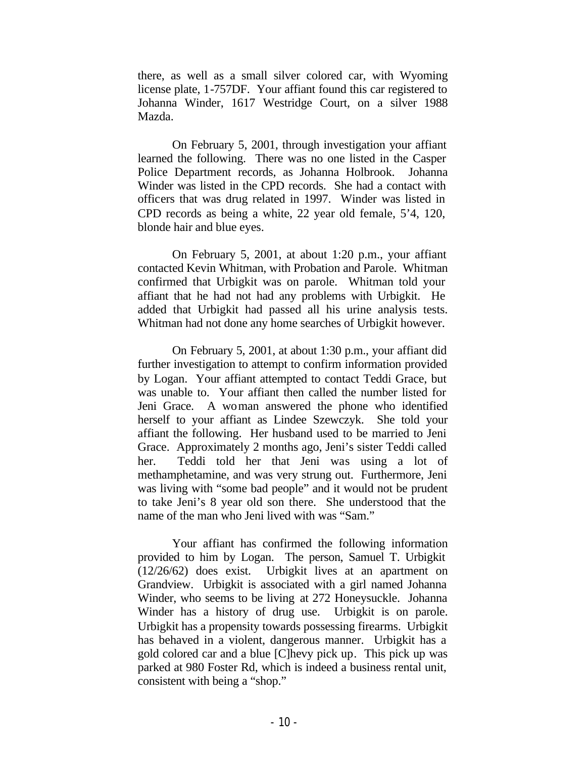there, as well as a small silver colored car, with Wyoming license plate, 1-757DF. Your affiant found this car registered to Johanna Winder, 1617 Westridge Court, on a silver 1988 Mazda.

On February 5, 2001, through investigation your affiant learned the following. There was no one listed in the Casper Police Department records, as Johanna Holbrook. Johanna Winder was listed in the CPD records. She had a contact with officers that was drug related in 1997. Winder was listed in CPD records as being a white, 22 year old female, 5'4, 120, blonde hair and blue eyes.

On February 5, 2001, at about 1:20 p.m., your affiant contacted Kevin Whitman, with Probation and Parole. Whitman confirmed that Urbigkit was on parole. Whitman told your affiant that he had not had any problems with Urbigkit. He added that Urbigkit had passed all his urine analysis tests. Whitman had not done any home searches of Urbigkit however.

On February 5, 2001, at about 1:30 p.m., your affiant did further investigation to attempt to confirm information provided by Logan. Your affiant attempted to contact Teddi Grace, but was unable to. Your affiant then called the number listed for Jeni Grace. A woman answered the phone who identified herself to your affiant as Lindee Szewczyk. She told your affiant the following. Her husband used to be married to Jeni Grace. Approximately 2 months ago, Jeni's sister Teddi called her. Teddi told her that Jeni was using a lot of methamphetamine, and was very strung out. Furthermore, Jeni was living with "some bad people" and it would not be prudent to take Jeni's 8 year old son there. She understood that the name of the man who Jeni lived with was "Sam."

Your affiant has confirmed the following information provided to him by Logan. The person, Samuel T. Urbigkit (12/26/62) does exist. Urbigkit lives at an apartment on Grandview. Urbigkit is associated with a girl named Johanna Winder, who seems to be living at 272 Honeysuckle. Johanna Winder has a history of drug use. Urbigkit is on parole. Urbigkit has a propensity towards possessing firearms. Urbigkit has behaved in a violent, dangerous manner. Urbigkit has a gold colored car and a blue [C]hevy pick up. This pick up was parked at 980 Foster Rd, which is indeed a business rental unit, consistent with being a "shop."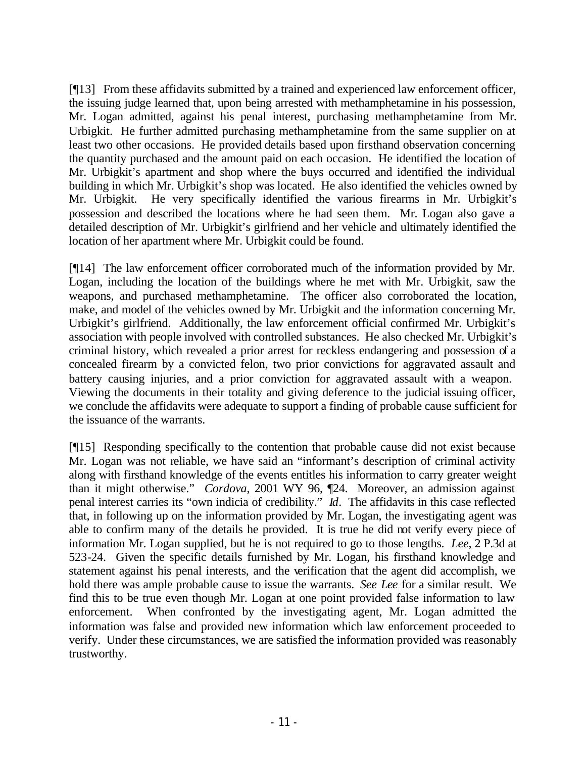[¶13] From these affidavits submitted by a trained and experienced law enforcement officer, the issuing judge learned that, upon being arrested with methamphetamine in his possession, Mr. Logan admitted, against his penal interest, purchasing methamphetamine from Mr. Urbigkit. He further admitted purchasing methamphetamine from the same supplier on at least two other occasions. He provided details based upon firsthand observation concerning the quantity purchased and the amount paid on each occasion. He identified the location of Mr. Urbigkit's apartment and shop where the buys occurred and identified the individual building in which Mr. Urbigkit's shop was located. He also identified the vehicles owned by Mr. Urbigkit. He very specifically identified the various firearms in Mr. Urbigkit's possession and described the locations where he had seen them. Mr. Logan also gave a detailed description of Mr. Urbigkit's girlfriend and her vehicle and ultimately identified the location of her apartment where Mr. Urbigkit could be found.

[¶14] The law enforcement officer corroborated much of the information provided by Mr. Logan, including the location of the buildings where he met with Mr. Urbigkit, saw the weapons, and purchased methamphetamine. The officer also corroborated the location, make, and model of the vehicles owned by Mr. Urbigkit and the information concerning Mr. Urbigkit's girlfriend. Additionally, the law enforcement official confirmed Mr. Urbigkit's association with people involved with controlled substances. He also checked Mr. Urbigkit's criminal history, which revealed a prior arrest for reckless endangering and possession of a concealed firearm by a convicted felon, two prior convictions for aggravated assault and battery causing injuries, and a prior conviction for aggravated assault with a weapon. Viewing the documents in their totality and giving deference to the judicial issuing officer, we conclude the affidavits were adequate to support a finding of probable cause sufficient for the issuance of the warrants.

[¶15] Responding specifically to the contention that probable cause did not exist because Mr. Logan was not reliable, we have said an "informant's description of criminal activity along with firsthand knowledge of the events entitles his information to carry greater weight than it might otherwise." *Cordova*, 2001 WY 96, ¶24. Moreover, an admission against penal interest carries its "own indicia of credibility." *Id*. The affidavits in this case reflected that, in following up on the information provided by Mr. Logan, the investigating agent was able to confirm many of the details he provided. It is true he did not verify every piece of information Mr. Logan supplied, but he is not required to go to those lengths. *Lee*, 2 P.3d at 523-24. Given the specific details furnished by Mr. Logan, his firsthand knowledge and statement against his penal interests, and the verification that the agent did accomplish, we hold there was ample probable cause to issue the warrants. *See Lee* for a similar result. We find this to be true even though Mr. Logan at one point provided false information to law enforcement. When confronted by the investigating agent, Mr. Logan admitted the information was false and provided new information which law enforcement proceeded to verify. Under these circumstances, we are satisfied the information provided was reasonably trustworthy.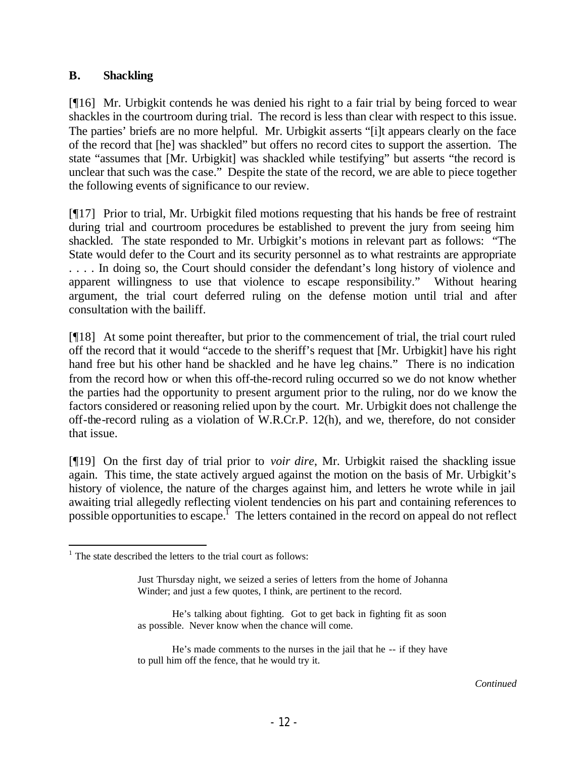### **B. Shackling**

[¶16] Mr. Urbigkit contends he was denied his right to a fair trial by being forced to wear shackles in the courtroom during trial. The record is less than clear with respect to this issue. The parties' briefs are no more helpful. Mr. Urbigkit asserts "[i]t appears clearly on the face of the record that [he] was shackled" but offers no record cites to support the assertion. The state "assumes that [Mr. Urbigkit] was shackled while testifying" but asserts "the record is unclear that such was the case." Despite the state of the record, we are able to piece together the following events of significance to our review.

[¶17] Prior to trial, Mr. Urbigkit filed motions requesting that his hands be free of restraint during trial and courtroom procedures be established to prevent the jury from seeing him shackled. The state responded to Mr. Urbigkit's motions in relevant part as follows: "The State would defer to the Court and its security personnel as to what restraints are appropriate . . . . In doing so, the Court should consider the defendant's long history of violence and apparent willingness to use that violence to escape responsibility." Without hearing argument, the trial court deferred ruling on the defense motion until trial and after consultation with the bailiff.

[¶18] At some point thereafter, but prior to the commencement of trial, the trial court ruled off the record that it would "accede to the sheriff's request that [Mr. Urbigkit] have his right hand free but his other hand be shackled and he have leg chains." There is no indication from the record how or when this off-the-record ruling occurred so we do not know whether the parties had the opportunity to present argument prior to the ruling, nor do we know the factors considered or reasoning relied upon by the court. Mr. Urbigkit does not challenge the off-the-record ruling as a violation of W.R.Cr.P. 12(h), and we, therefore, do not consider that issue.

[¶19] On the first day of trial prior to *voir dire*, Mr. Urbigkit raised the shackling issue again. This time, the state actively argued against the motion on the basis of Mr. Urbigkit's history of violence, the nature of the charges against him, and letters he wrote while in jail awaiting trial allegedly reflecting violent tendencies on his part and containing references to possible opportunities to escape.<sup>1</sup> The letters contained in the record on appeal do not reflect

  $1$  The state described the letters to the trial court as follows:

Just Thursday night, we seized a series of letters from the home of Johanna Winder; and just a few quotes, I think, are pertinent to the record.

He's talking about fighting. Got to get back in fighting fit as soon as possible. Never know when the chance will come.

He's made comments to the nurses in the jail that he -- if they have to pull him off the fence, that he would try it.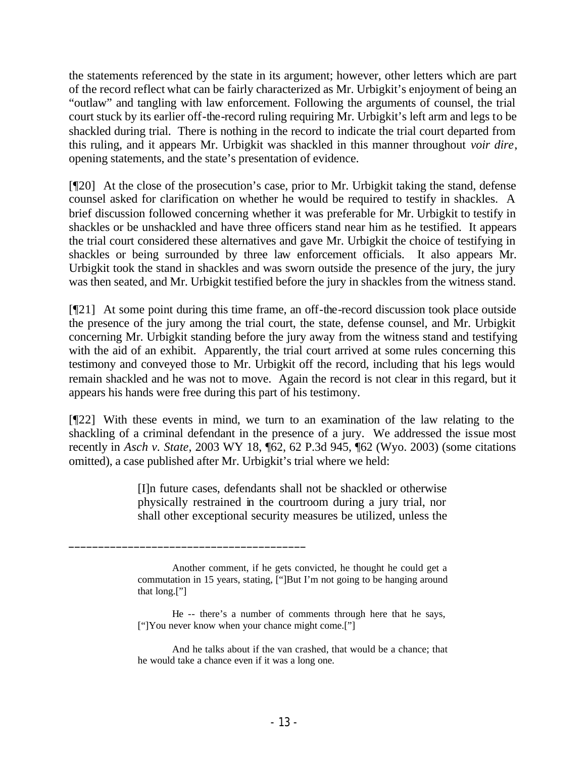the statements referenced by the state in its argument; however, other letters which are part of the record reflect what can be fairly characterized as Mr. Urbigkit's enjoyment of being an "outlaw" and tangling with law enforcement. Following the arguments of counsel, the trial court stuck by its earlier off-the-record ruling requiring Mr. Urbigkit's left arm and legs to be shackled during trial. There is nothing in the record to indicate the trial court departed from this ruling, and it appears Mr. Urbigkit was shackled in this manner throughout *voir dire*, opening statements, and the state's presentation of evidence.

[¶20] At the close of the prosecution's case, prior to Mr. Urbigkit taking the stand, defense counsel asked for clarification on whether he would be required to testify in shackles. A brief discussion followed concerning whether it was preferable for Mr. Urbigkit to testify in shackles or be unshackled and have three officers stand near him as he testified. It appears the trial court considered these alternatives and gave Mr. Urbigkit the choice of testifying in shackles or being surrounded by three law enforcement officials. It also appears Mr. Urbigkit took the stand in shackles and was sworn outside the presence of the jury, the jury was then seated, and Mr. Urbigkit testified before the jury in shackles from the witness stand.

[¶21] At some point during this time frame, an off-the-record discussion took place outside the presence of the jury among the trial court, the state, defense counsel, and Mr. Urbigkit concerning Mr. Urbigkit standing before the jury away from the witness stand and testifying with the aid of an exhibit. Apparently, the trial court arrived at some rules concerning this testimony and conveyed those to Mr. Urbigkit off the record, including that his legs would remain shackled and he was not to move. Again the record is not clear in this regard, but it appears his hands were free during this part of his testimony.

[¶22] With these events in mind, we turn to an examination of the law relating to the shackling of a criminal defendant in the presence of a jury. We addressed the issue most recently in *Asch v. State*, 2003 WY 18, ¶62, 62 P.3d 945, ¶62 (Wyo. 2003) (some citations omitted), a case published after Mr. Urbigkit's trial where we held:

> [I]n future cases, defendants shall not be shackled or otherwise physically restrained in the courtroom during a jury trial, nor shall other exceptional security measures be utilized, unless the

 $\frac{1}{2}$  , and the set of the set of the set of the set of the set of the set of the set of the set of the set of the set of the set of the set of the set of the set of the set of the set of the set of the set of the set

Another comment, if he gets convicted, he thought he could get a commutation in 15 years, stating, ["]But I'm not going to be hanging around that long.["]

He -- there's a number of comments through here that he says, ["]You never know when your chance might come.["]

And he talks about if the van crashed, that would be a chance; that he would take a chance even if it was a long one.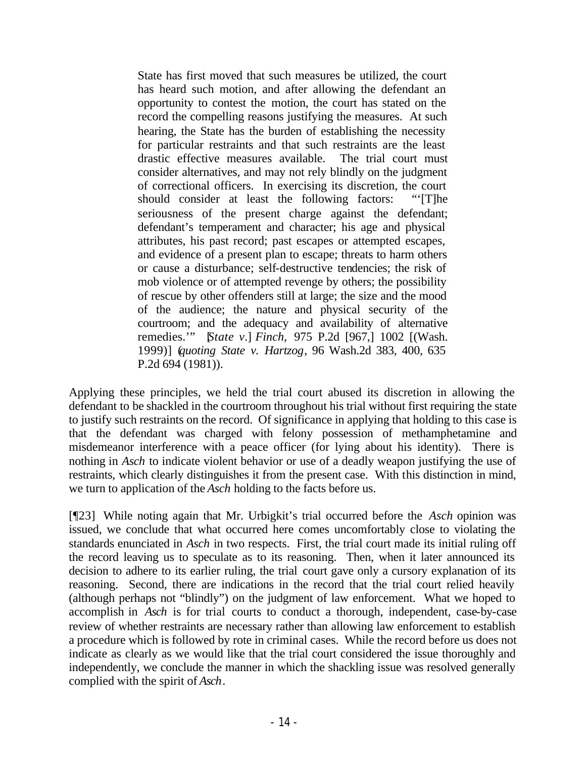State has first moved that such measures be utilized, the court has heard such motion, and after allowing the defendant an opportunity to contest the motion, the court has stated on the record the compelling reasons justifying the measures. At such hearing, the State has the burden of establishing the necessity for particular restraints and that such restraints are the least drastic effective measures available. The trial court must consider alternatives, and may not rely blindly on the judgment of correctional officers. In exercising its discretion, the court should consider at least the following factors: "'[T]he seriousness of the present charge against the defendant; defendant's temperament and character; his age and physical attributes, his past record; past escapes or attempted escapes, and evidence of a present plan to escape; threats to harm others or cause a disturbance; self-destructive tendencies; the risk of mob violence or of attempted revenge by others; the possibility of rescue by other offenders still at large; the size and the mood of the audience; the nature and physical security of the courtroom; and the adequacy and availability of alternative remedies.'" [*State v.*] *Finch,* 975 P.2d [967,] 1002 [(Wash. 1999)] (*quoting State v. Hartzog*, 96 Wash.2d 383, 400, 635 P.2d 694 (1981)).

Applying these principles, we held the trial court abused its discretion in allowing the defendant to be shackled in the courtroom throughout his trial without first requiring the state to justify such restraints on the record. Of significance in applying that holding to this case is that the defendant was charged with felony possession of methamphetamine and misdemeanor interference with a peace officer (for lying about his identity). There is nothing in *Asch* to indicate violent behavior or use of a deadly weapon justifying the use of restraints, which clearly distinguishes it from the present case. With this distinction in mind, we turn to application of the *Asch* holding to the facts before us.

[¶23] While noting again that Mr. Urbigkit's trial occurred before the *Asch* opinion was issued, we conclude that what occurred here comes uncomfortably close to violating the standards enunciated in *Asch* in two respects. First, the trial court made its initial ruling off the record leaving us to speculate as to its reasoning. Then, when it later announced its decision to adhere to its earlier ruling, the trial court gave only a cursory explanation of its reasoning. Second, there are indications in the record that the trial court relied heavily (although perhaps not "blindly") on the judgment of law enforcement. What we hoped to accomplish in *Asch* is for trial courts to conduct a thorough, independent, case-by-case review of whether restraints are necessary rather than allowing law enforcement to establish a procedure which is followed by rote in criminal cases. While the record before us does not indicate as clearly as we would like that the trial court considered the issue thoroughly and independently, we conclude the manner in which the shackling issue was resolved generally complied with the spirit of *Asch*.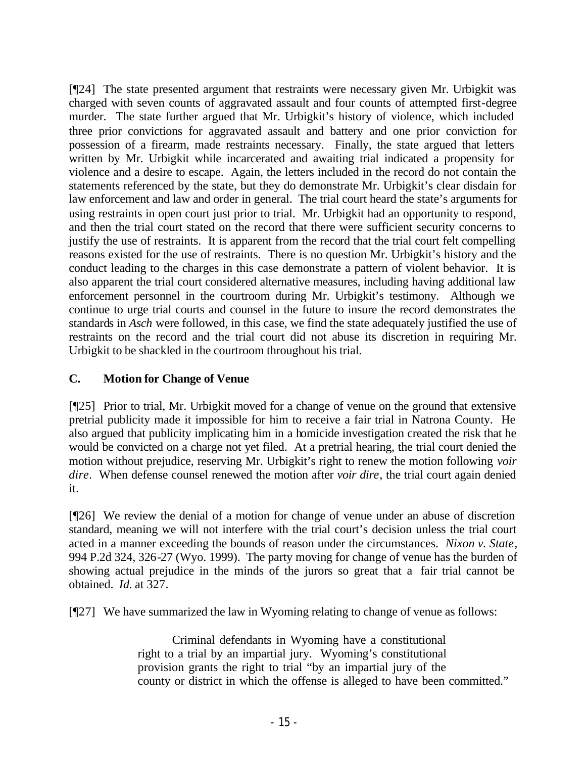[¶24] The state presented argument that restraints were necessary given Mr. Urbigkit was charged with seven counts of aggravated assault and four counts of attempted first-degree murder. The state further argued that Mr. Urbigkit's history of violence, which included three prior convictions for aggravated assault and battery and one prior conviction for possession of a firearm, made restraints necessary. Finally, the state argued that letters written by Mr. Urbigkit while incarcerated and awaiting trial indicated a propensity for violence and a desire to escape. Again, the letters included in the record do not contain the statements referenced by the state, but they do demonstrate Mr. Urbigkit's clear disdain for law enforcement and law and order in general. The trial court heard the state's arguments for using restraints in open court just prior to trial. Mr. Urbigkit had an opportunity to respond, and then the trial court stated on the record that there were sufficient security concerns to justify the use of restraints. It is apparent from the record that the trial court felt compelling reasons existed for the use of restraints. There is no question Mr. Urbigkit's history and the conduct leading to the charges in this case demonstrate a pattern of violent behavior. It is also apparent the trial court considered alternative measures, including having additional law enforcement personnel in the courtroom during Mr. Urbigkit's testimony. Although we continue to urge trial courts and counsel in the future to insure the record demonstrates the standards in *Asch* were followed, in this case, we find the state adequately justified the use of restraints on the record and the trial court did not abuse its discretion in requiring Mr. Urbigkit to be shackled in the courtroom throughout his trial.

## **C. Motion for Change of Venue**

[¶25] Prior to trial, Mr. Urbigkit moved for a change of venue on the ground that extensive pretrial publicity made it impossible for him to receive a fair trial in Natrona County. He also argued that publicity implicating him in a homicide investigation created the risk that he would be convicted on a charge not yet filed. At a pretrial hearing, the trial court denied the motion without prejudice, reserving Mr. Urbigkit's right to renew the motion following *voir dire*. When defense counsel renewed the motion after *voir dire*, the trial court again denied it.

[¶26] We review the denial of a motion for change of venue under an abuse of discretion standard, meaning we will not interfere with the trial court's decision unless the trial court acted in a manner exceeding the bounds of reason under the circumstances. *Nixon v. State*, 994 P.2d 324, 326-27 (Wyo. 1999). The party moving for change of venue has the burden of showing actual prejudice in the minds of the jurors so great that a fair trial cannot be obtained. *Id.* at 327.

[¶27] We have summarized the law in Wyoming relating to change of venue as follows:

Criminal defendants in Wyoming have a constitutional right to a trial by an impartial jury. Wyoming's constitutional provision grants the right to trial "by an impartial jury of the county or district in which the offense is alleged to have been committed."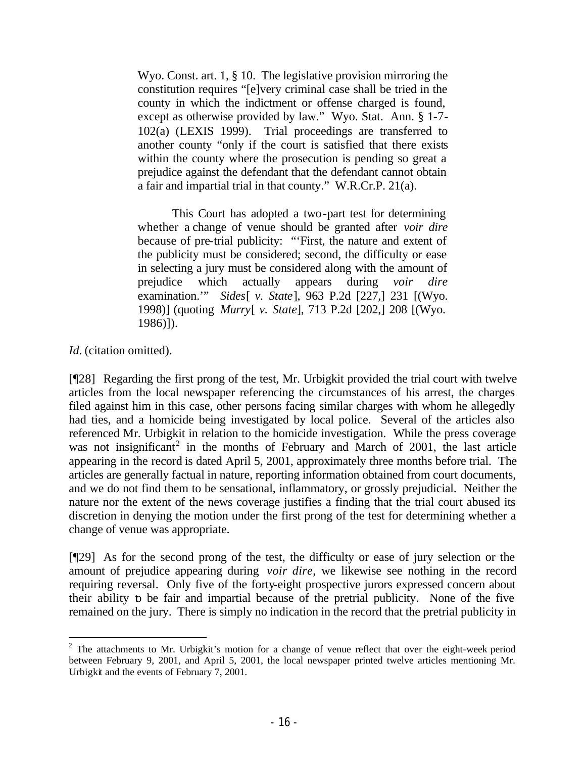Wyo. Const. art. 1, § 10. The legislative provision mirroring the constitution requires "[e]very criminal case shall be tried in the county in which the indictment or offense charged is found, except as otherwise provided by law." Wyo. Stat. Ann. § 1-7- 102(a) (LEXIS 1999). Trial proceedings are transferred to another county "only if the court is satisfied that there exists within the county where the prosecution is pending so great a prejudice against the defendant that the defendant cannot obtain a fair and impartial trial in that county." W.R.Cr.P. 21(a).

This Court has adopted a two-part test for determining whether a change of venue should be granted after *voir dire* because of pre-trial publicity: "'First, the nature and extent of the publicity must be considered; second, the difficulty or ease in selecting a jury must be considered along with the amount of prejudice which actually appears during *voir dire* examination.'" *Sides*[ *v. State*], 963 P.2d [227,] 231 [(Wyo. 1998)] (quoting *Murry*[ *v. State*], 713 P.2d [202,] 208 [(Wyo. 1986)]).

*Id.* (citation omitted).

[¶28] Regarding the first prong of the test, Mr. Urbigkit provided the trial court with twelve articles from the local newspaper referencing the circumstances of his arrest, the charges filed against him in this case, other persons facing similar charges with whom he allegedly had ties, and a homicide being investigated by local police. Several of the articles also referenced Mr. Urbigkit in relation to the homicide investigation. While the press coverage was not insignificant<sup>2</sup> in the months of February and March of 2001, the last article appearing in the record is dated April 5, 2001, approximately three months before trial. The articles are generally factual in nature, reporting information obtained from court documents, and we do not find them to be sensational, inflammatory, or grossly prejudicial. Neither the nature nor the extent of the news coverage justifies a finding that the trial court abused its discretion in denying the motion under the first prong of the test for determining whether a change of venue was appropriate.

[¶29] As for the second prong of the test, the difficulty or ease of jury selection or the amount of prejudice appearing during *voir dire*, we likewise see nothing in the record requiring reversal. Only five of the forty-eight prospective jurors expressed concern about their ability to be fair and impartial because of the pretrial publicity. None of the five remained on the jury. There is simply no indication in the record that the pretrial publicity in

 $2$  The attachments to Mr. Urbigkit's motion for a change of venue reflect that over the eight-week period between February 9, 2001, and April 5, 2001, the local newspaper printed twelve articles mentioning Mr. Urbigkit and the events of February 7, 2001.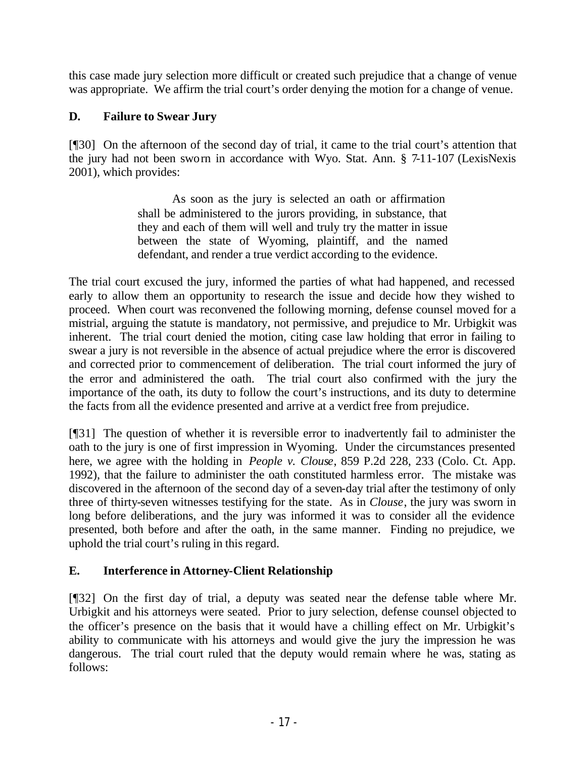this case made jury selection more difficult or created such prejudice that a change of venue was appropriate. We affirm the trial court's order denying the motion for a change of venue.

# **D. Failure to Swear Jury**

[¶30] On the afternoon of the second day of trial, it came to the trial court's attention that the jury had not been sworn in accordance with Wyo. Stat. Ann. § 7-11-107 (LexisNexis 2001), which provides:

> As soon as the jury is selected an oath or affirmation shall be administered to the jurors providing, in substance, that they and each of them will well and truly try the matter in issue between the state of Wyoming, plaintiff, and the named defendant, and render a true verdict according to the evidence.

The trial court excused the jury, informed the parties of what had happened, and recessed early to allow them an opportunity to research the issue and decide how they wished to proceed. When court was reconvened the following morning, defense counsel moved for a mistrial, arguing the statute is mandatory, not permissive, and prejudice to Mr. Urbigkit was inherent. The trial court denied the motion, citing case law holding that error in failing to swear a jury is not reversible in the absence of actual prejudice where the error is discovered and corrected prior to commencement of deliberation. The trial court informed the jury of the error and administered the oath. The trial court also confirmed with the jury the importance of the oath, its duty to follow the court's instructions, and its duty to determine the facts from all the evidence presented and arrive at a verdict free from prejudice.

[¶31] The question of whether it is reversible error to inadvertently fail to administer the oath to the jury is one of first impression in Wyoming. Under the circumstances presented here, we agree with the holding in *People v. Clouse*, 859 P.2d 228, 233 (Colo. Ct. App. 1992), that the failure to administer the oath constituted harmless error. The mistake was discovered in the afternoon of the second day of a seven-day trial after the testimony of only three of thirty-seven witnesses testifying for the state. As in *Clouse*, the jury was sworn in long before deliberations, and the jury was informed it was to consider all the evidence presented, both before and after the oath, in the same manner. Finding no prejudice, we uphold the trial court's ruling in this regard.

## **E. Interference in Attorney-Client Relationship**

[¶32] On the first day of trial, a deputy was seated near the defense table where Mr. Urbigkit and his attorneys were seated. Prior to jury selection, defense counsel objected to the officer's presence on the basis that it would have a chilling effect on Mr. Urbigkit's ability to communicate with his attorneys and would give the jury the impression he was dangerous. The trial court ruled that the deputy would remain where he was, stating as follows: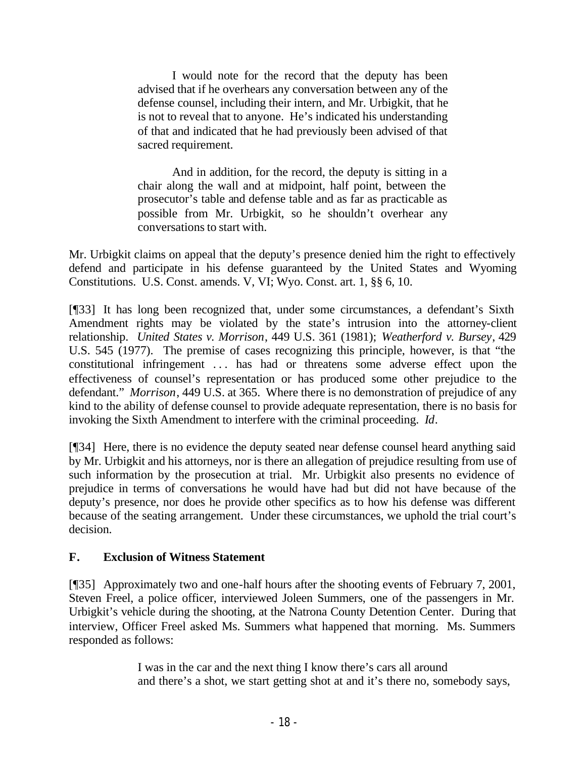I would note for the record that the deputy has been advised that if he overhears any conversation between any of the defense counsel, including their intern, and Mr. Urbigkit, that he is not to reveal that to anyone. He's indicated his understanding of that and indicated that he had previously been advised of that sacred requirement.

And in addition, for the record, the deputy is sitting in a chair along the wall and at midpoint, half point, between the prosecutor's table and defense table and as far as practicable as possible from Mr. Urbigkit, so he shouldn't overhear any conversations to start with.

Mr. Urbigkit claims on appeal that the deputy's presence denied him the right to effectively defend and participate in his defense guaranteed by the United States and Wyoming Constitutions. U.S. Const. amends. V, VI; Wyo. Const. art. 1, §§ 6, 10.

[¶33] It has long been recognized that, under some circumstances, a defendant's Sixth Amendment rights may be violated by the state's intrusion into the attorney-client relationship. *United States v. Morrison*, 449 U.S. 361 (1981); *Weatherford v. Bursey*, 429 U.S. 545 (1977). The premise of cases recognizing this principle, however, is that "the constitutional infringement ... has had or threatens some adverse effect upon the effectiveness of counsel's representation or has produced some other prejudice to the defendant." *Morrison*, 449 U.S. at 365. Where there is no demonstration of prejudice of any kind to the ability of defense counsel to provide adequate representation, there is no basis for invoking the Sixth Amendment to interfere with the criminal proceeding. *Id*.

[¶34] Here, there is no evidence the deputy seated near defense counsel heard anything said by Mr. Urbigkit and his attorneys, nor is there an allegation of prejudice resulting from use of such information by the prosecution at trial. Mr. Urbigkit also presents no evidence of prejudice in terms of conversations he would have had but did not have because of the deputy's presence, nor does he provide other specifics as to how his defense was different because of the seating arrangement. Under these circumstances, we uphold the trial court's decision.

## **F. Exclusion of Witness Statement**

[¶35] Approximately two and one-half hours after the shooting events of February 7, 2001, Steven Freel, a police officer, interviewed Joleen Summers, one of the passengers in Mr. Urbigkit's vehicle during the shooting, at the Natrona County Detention Center. During that interview, Officer Freel asked Ms. Summers what happened that morning. Ms. Summers responded as follows:

> I was in the car and the next thing I know there's cars all around and there's a shot, we start getting shot at and it's there no, somebody says,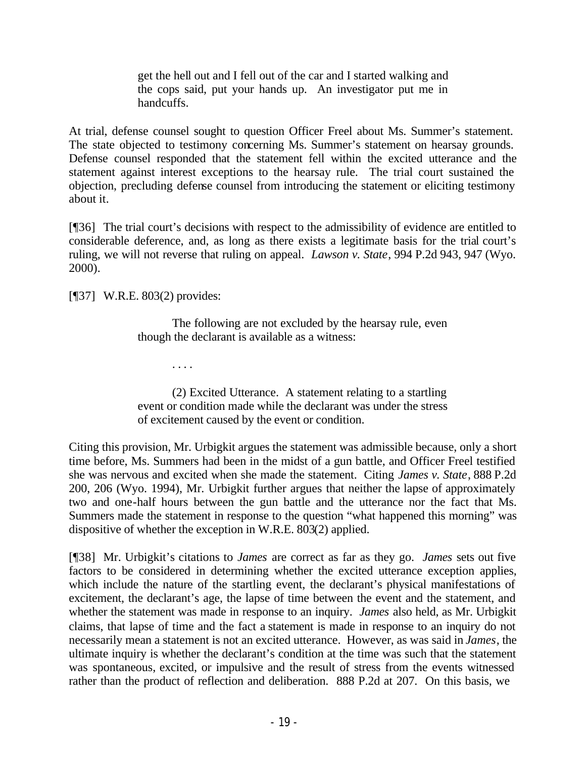get the hell out and I fell out of the car and I started walking and the cops said, put your hands up. An investigator put me in handcuffs.

At trial, defense counsel sought to question Officer Freel about Ms. Summer's statement. The state objected to testimony concerning Ms. Summer's statement on hearsay grounds. Defense counsel responded that the statement fell within the excited utterance and the statement against interest exceptions to the hearsay rule. The trial court sustained the objection, precluding defense counsel from introducing the statement or eliciting testimony about it.

[¶36] The trial court's decisions with respect to the admissibility of evidence are entitled to considerable deference, and, as long as there exists a legitimate basis for the trial court's ruling, we will not reverse that ruling on appeal. *Lawson v. State*, 994 P.2d 943, 947 (Wyo. 2000).

[¶37] W.R.E. 803(2) provides:

The following are not excluded by the hearsay rule, even though the declarant is available as a witness:

. . . .

(2) Excited Utterance. A statement relating to a startling event or condition made while the declarant was under the stress of excitement caused by the event or condition.

Citing this provision, Mr. Urbigkit argues the statement was admissible because, only a short time before, Ms. Summers had been in the midst of a gun battle, and Officer Freel testified she was nervous and excited when she made the statement. Citing *James v. State*, 888 P.2d 200, 206 (Wyo. 1994), Mr. Urbigkit further argues that neither the lapse of approximately two and one-half hours between the gun battle and the utterance nor the fact that Ms. Summers made the statement in response to the question "what happened this morning" was dispositive of whether the exception in W.R.E. 803(2) applied.

[¶38] Mr. Urbigkit's citations to *James* are correct as far as they go. *James* sets out five factors to be considered in determining whether the excited utterance exception applies, which include the nature of the startling event, the declarant's physical manifestations of excitement, the declarant's age, the lapse of time between the event and the statement, and whether the statement was made in response to an inquiry. *James* also held, as Mr. Urbigkit claims, that lapse of time and the fact a statement is made in response to an inquiry do not necessarily mean a statement is not an excited utterance. However, as was said in *James*, the ultimate inquiry is whether the declarant's condition at the time was such that the statement was spontaneous, excited, or impulsive and the result of stress from the events witnessed rather than the product of reflection and deliberation. 888 P.2d at 207. On this basis, we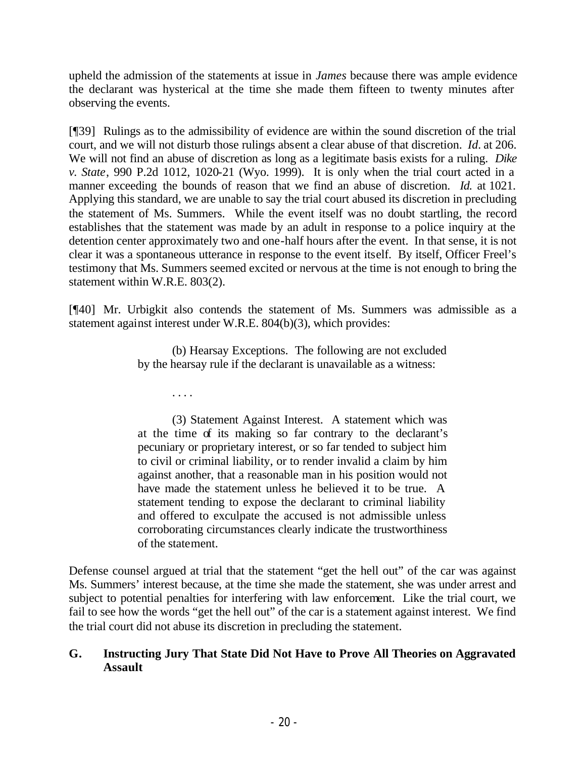upheld the admission of the statements at issue in *James* because there was ample evidence the declarant was hysterical at the time she made them fifteen to twenty minutes after observing the events.

[¶39] Rulings as to the admissibility of evidence are within the sound discretion of the trial court, and we will not disturb those rulings absent a clear abuse of that discretion. *Id.* at 206. We will not find an abuse of discretion as long as a legitimate basis exists for a ruling. *Dike v. State*, 990 P.2d 1012, 1020-21 (Wyo. 1999). It is only when the trial court acted in a manner exceeding the bounds of reason that we find an abuse of discretion. *Id.* at 1021. Applying this standard, we are unable to say the trial court abused its discretion in precluding the statement of Ms. Summers. While the event itself was no doubt startling, the record establishes that the statement was made by an adult in response to a police inquiry at the detention center approximately two and one-half hours after the event. In that sense, it is not clear it was a spontaneous utterance in response to the event itself. By itself, Officer Freel's testimony that Ms. Summers seemed excited or nervous at the time is not enough to bring the statement within W.R.E. 803(2).

[¶40] Mr. Urbigkit also contends the statement of Ms. Summers was admissible as a statement against interest under W.R.E. 804(b)(3), which provides:

> (b) Hearsay Exceptions. The following are not excluded by the hearsay rule if the declarant is unavailable as a witness:

> > . . . .

(3) Statement Against Interest. A statement which was at the time of its making so far contrary to the declarant's pecuniary or proprietary interest, or so far tended to subject him to civil or criminal liability, or to render invalid a claim by him against another, that a reasonable man in his position would not have made the statement unless he believed it to be true. A statement tending to expose the declarant to criminal liability and offered to exculpate the accused is not admissible unless corroborating circumstances clearly indicate the trustworthiness of the statement.

Defense counsel argued at trial that the statement "get the hell out" of the car was against Ms. Summers' interest because, at the time she made the statement, she was under arrest and subject to potential penalties for interfering with law enforcement. Like the trial court, we fail to see how the words "get the hell out" of the car is a statement against interest. We find the trial court did not abuse its discretion in precluding the statement.

## **G. Instructing Jury That State Did Not Have to Prove All Theories on Aggravated Assault**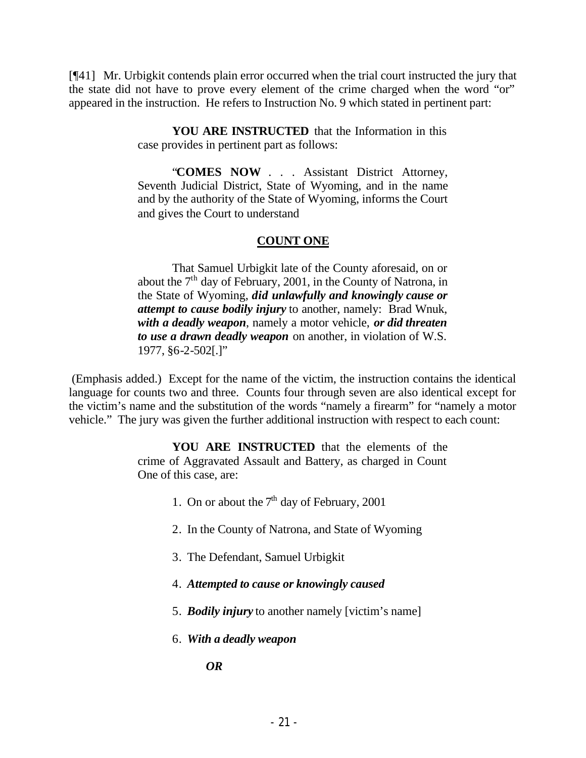[¶41] Mr. Urbigkit contends plain error occurred when the trial court instructed the jury that the state did not have to prove every element of the crime charged when the word "or" appeared in the instruction. He refers to Instruction No. 9 which stated in pertinent part:

> **YOU ARE INSTRUCTED** that the Information in this case provides in pertinent part as follows:

> "**COMES NOW** . . . Assistant District Attorney, Seventh Judicial District, State of Wyoming, and in the name and by the authority of the State of Wyoming, informs the Court and gives the Court to understand

#### **COUNT ONE**

That Samuel Urbigkit late of the County aforesaid, on or about the  $7<sup>th</sup>$  day of February, 2001, in the County of Natrona, in the State of Wyoming, *did unlawfully and knowingly cause or attempt to cause bodily injury* to another, namely: Brad Wnuk, *with a deadly weapon*, namely a motor vehicle, *or did threaten to use a drawn deadly weapon* on another, in violation of W.S. 1977, §6-2-502[.]"

 (Emphasis added.) Except for the name of the victim, the instruction contains the identical language for counts two and three. Counts four through seven are also identical except for the victim's name and the substitution of the words "namely a firearm" for "namely a motor vehicle." The jury was given the further additional instruction with respect to each count:

> **YOU ARE INSTRUCTED** that the elements of the crime of Aggravated Assault and Battery, as charged in Count One of this case, are:

- 1. On or about the  $7<sup>th</sup>$  day of February, 2001
- 2. In the County of Natrona, and State of Wyoming
- 3. The Defendant, Samuel Urbigkit
- 4. *Attempted to cause or knowingly caused*
- 5. *Bodily injury* to another namely [victim's name]
- 6. *With a deadly weapon*

*OR*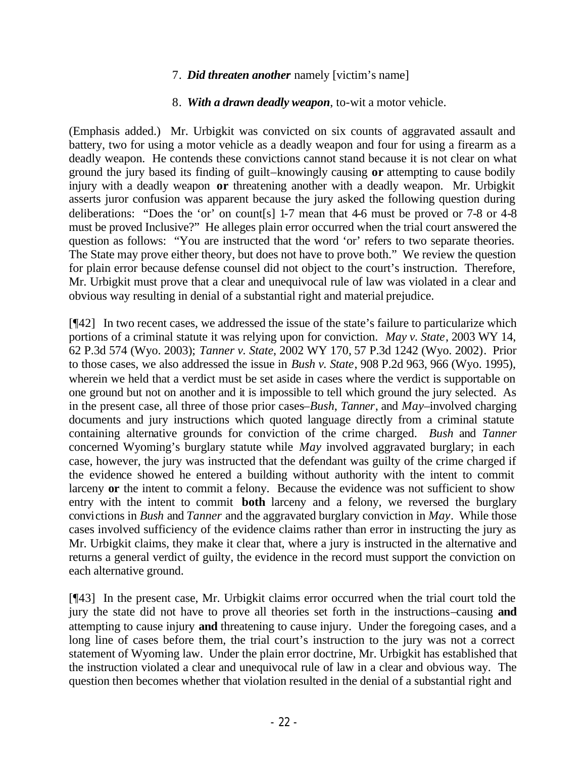### 7. *Did threaten another* namely [victim's name]

### 8. *With a drawn deadly weapon*, to-wit a motor vehicle.

(Emphasis added.) Mr. Urbigkit was convicted on six counts of aggravated assault and battery, two for using a motor vehicle as a deadly weapon and four for using a firearm as a deadly weapon. He contends these convictions cannot stand because it is not clear on what ground the jury based its finding of guilt–knowingly causing **or** attempting to cause bodily injury with a deadly weapon **or** threatening another with a deadly weapon. Mr. Urbigkit asserts juror confusion was apparent because the jury asked the following question during deliberations: "Does the 'or' on count[s] 1-7 mean that 4-6 must be proved or 7-8 or 4-8 must be proved Inclusive?" He alleges plain error occurred when the trial court answered the question as follows: "You are instructed that the word 'or' refers to two separate theories. The State may prove either theory, but does not have to prove both." We review the question for plain error because defense counsel did not object to the court's instruction. Therefore, Mr. Urbigkit must prove that a clear and unequivocal rule of law was violated in a clear and obvious way resulting in denial of a substantial right and material prejudice.

[¶42] In two recent cases, we addressed the issue of the state's failure to particularize which portions of a criminal statute it was relying upon for conviction. *May v. State*, 2003 WY 14, 62 P.3d 574 (Wyo. 2003); *Tanner v. State*, 2002 WY 170, 57 P.3d 1242 (Wyo. 2002). Prior to those cases, we also addressed the issue in *Bush v. State*, 908 P.2d 963, 966 (Wyo. 1995), wherein we held that a verdict must be set aside in cases where the verdict is supportable on one ground but not on another and it is impossible to tell which ground the jury selected. As in the present case, all three of those prior cases–*Bush*, *Tanner*, and *May*–involved charging documents and jury instructions which quoted language directly from a criminal statute containing alternative grounds for conviction of the crime charged. *Bush* and *Tanner* concerned Wyoming's burglary statute while *May* involved aggravated burglary; in each case, however, the jury was instructed that the defendant was guilty of the crime charged if the evidence showed he entered a building without authority with the intent to commit larceny **or** the intent to commit a felony. Because the evidence was not sufficient to show entry with the intent to commit **both** larceny and a felony, we reversed the burglary convictions in *Bush* and *Tanner* and the aggravated burglary conviction in *May*. While those cases involved sufficiency of the evidence claims rather than error in instructing the jury as Mr. Urbigkit claims, they make it clear that, where a jury is instructed in the alternative and returns a general verdict of guilty, the evidence in the record must support the conviction on each alternative ground.

[¶43] In the present case, Mr. Urbigkit claims error occurred when the trial court told the jury the state did not have to prove all theories set forth in the instructions–causing **and** attempting to cause injury **and** threatening to cause injury. Under the foregoing cases, and a long line of cases before them, the trial court's instruction to the jury was not a correct statement of Wyoming law. Under the plain error doctrine, Mr. Urbigkit has established that the instruction violated a clear and unequivocal rule of law in a clear and obvious way. The question then becomes whether that violation resulted in the denial of a substantial right and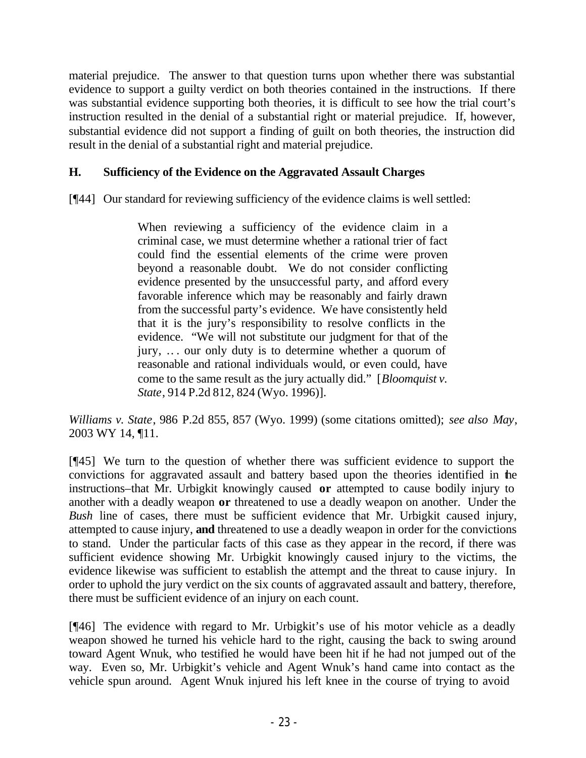material prejudice. The answer to that question turns upon whether there was substantial evidence to support a guilty verdict on both theories contained in the instructions. If there was substantial evidence supporting both theories, it is difficult to see how the trial court's instruction resulted in the denial of a substantial right or material prejudice. If, however, substantial evidence did not support a finding of guilt on both theories, the instruction did result in the denial of a substantial right and material prejudice.

## **H. Sufficiency of the Evidence on the Aggravated Assault Charges**

[¶44] Our standard for reviewing sufficiency of the evidence claims is well settled:

When reviewing a sufficiency of the evidence claim in a criminal case, we must determine whether a rational trier of fact could find the essential elements of the crime were proven beyond a reasonable doubt. We do not consider conflicting evidence presented by the unsuccessful party, and afford every favorable inference which may be reasonably and fairly drawn from the successful party's evidence. We have consistently held that it is the jury's responsibility to resolve conflicts in the evidence. "We will not substitute our judgment for that of the jury, .. . our only duty is to determine whether a quorum of reasonable and rational individuals would, or even could, have come to the same result as the jury actually did." [*Bloomquist v. State*, 914 P.2d 812, 824 (Wyo. 1996)].

*Williams v. State*, 986 P.2d 855, 857 (Wyo. 1999) (some citations omitted); *see also May*, 2003 WY 14, ¶11.

[¶45] We turn to the question of whether there was sufficient evidence to support the convictions for aggravated assault and battery based upon the theories identified in the instructions–that Mr. Urbigkit knowingly caused **or** attempted to cause bodily injury to another with a deadly weapon **or** threatened to use a deadly weapon on another. Under the *Bush* line of cases, there must be sufficient evidence that Mr. Urbigkit caused injury, attempted to cause injury, **and** threatened to use a deadly weapon in order for the convictions to stand. Under the particular facts of this case as they appear in the record, if there was sufficient evidence showing Mr. Urbigkit knowingly caused injury to the victims, the evidence likewise was sufficient to establish the attempt and the threat to cause injury. In order to uphold the jury verdict on the six counts of aggravated assault and battery, therefore, there must be sufficient evidence of an injury on each count.

[¶46] The evidence with regard to Mr. Urbigkit's use of his motor vehicle as a deadly weapon showed he turned his vehicle hard to the right, causing the back to swing around toward Agent Wnuk, who testified he would have been hit if he had not jumped out of the way. Even so, Mr. Urbigkit's vehicle and Agent Wnuk's hand came into contact as the vehicle spun around. Agent Wnuk injured his left knee in the course of trying to avoid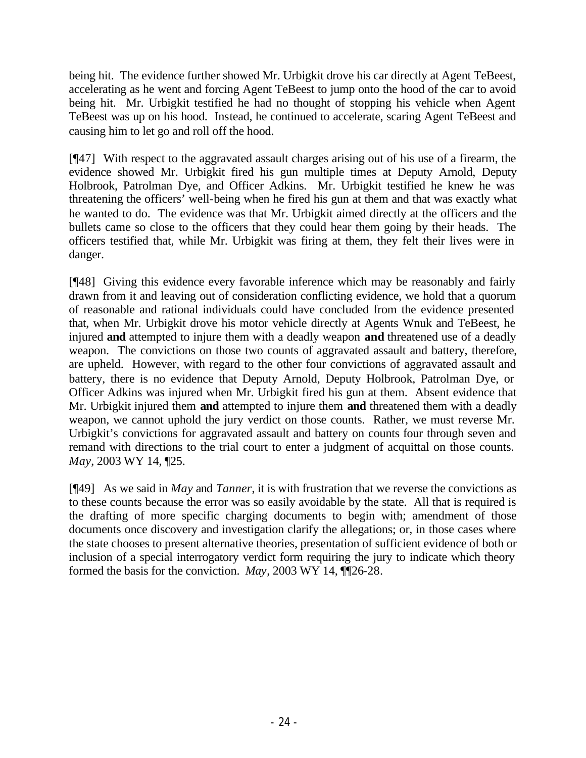being hit. The evidence further showed Mr. Urbigkit drove his car directly at Agent TeBeest, accelerating as he went and forcing Agent TeBeest to jump onto the hood of the car to avoid being hit. Mr. Urbigkit testified he had no thought of stopping his vehicle when Agent TeBeest was up on his hood. Instead, he continued to accelerate, scaring Agent TeBeest and causing him to let go and roll off the hood.

[¶47] With respect to the aggravated assault charges arising out of his use of a firearm, the evidence showed Mr. Urbigkit fired his gun multiple times at Deputy Arnold, Deputy Holbrook, Patrolman Dye, and Officer Adkins. Mr. Urbigkit testified he knew he was threatening the officers' well-being when he fired his gun at them and that was exactly what he wanted to do. The evidence was that Mr. Urbigkit aimed directly at the officers and the bullets came so close to the officers that they could hear them going by their heads. The officers testified that, while Mr. Urbigkit was firing at them, they felt their lives were in danger.

[¶48] Giving this evidence every favorable inference which may be reasonably and fairly drawn from it and leaving out of consideration conflicting evidence, we hold that a quorum of reasonable and rational individuals could have concluded from the evidence presented that, when Mr. Urbigkit drove his motor vehicle directly at Agents Wnuk and TeBeest, he injured **and** attempted to injure them with a deadly weapon **and** threatened use of a deadly weapon. The convictions on those two counts of aggravated assault and battery, therefore, are upheld. However, with regard to the other four convictions of aggravated assault and battery, there is no evidence that Deputy Arnold, Deputy Holbrook, Patrolman Dye, or Officer Adkins was injured when Mr. Urbigkit fired his gun at them. Absent evidence that Mr. Urbigkit injured them **and** attempted to injure them **and** threatened them with a deadly weapon, we cannot uphold the jury verdict on those counts. Rather, we must reverse Mr. Urbigkit's convictions for aggravated assault and battery on counts four through seven and remand with directions to the trial court to enter a judgment of acquittal on those counts. *May*, 2003 WY 14, ¶25.

[¶49] As we said in *May* and *Tanner*, it is with frustration that we reverse the convictions as to these counts because the error was so easily avoidable by the state. All that is required is the drafting of more specific charging documents to begin with; amendment of those documents once discovery and investigation clarify the allegations; or, in those cases where the state chooses to present alternative theories, presentation of sufficient evidence of both or inclusion of a special interrogatory verdict form requiring the jury to indicate which theory formed the basis for the conviction. *May*, 2003 WY 14, ¶¶26-28.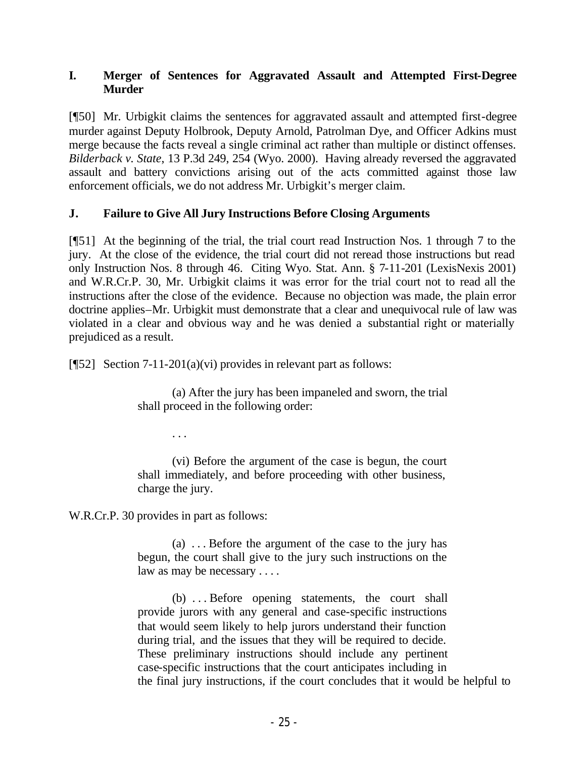### **I. Merger of Sentences for Aggravated Assault and Attempted First-Degree Murder**

[¶50] Mr. Urbigkit claims the sentences for aggravated assault and attempted first-degree murder against Deputy Holbrook, Deputy Arnold, Patrolman Dye, and Officer Adkins must merge because the facts reveal a single criminal act rather than multiple or distinct offenses. *Bilderback v. State*, 13 P.3d 249, 254 (Wyo. 2000). Having already reversed the aggravated assault and battery convictions arising out of the acts committed against those law enforcement officials, we do not address Mr. Urbigkit's merger claim.

## **J. Failure to Give All Jury Instructions Before Closing Arguments**

[¶51] At the beginning of the trial, the trial court read Instruction Nos. 1 through 7 to the jury. At the close of the evidence, the trial court did not reread those instructions but read only Instruction Nos. 8 through 46. Citing Wyo. Stat. Ann. § 7-11-201 (LexisNexis 2001) and W.R.Cr.P. 30, Mr. Urbigkit claims it was error for the trial court not to read all the instructions after the close of the evidence. Because no objection was made, the plain error doctrine applies–Mr. Urbigkit must demonstrate that a clear and unequivocal rule of law was violated in a clear and obvious way and he was denied a substantial right or materially prejudiced as a result.

[¶52] Section 7-11-201(a)(vi) provides in relevant part as follows:

(a) After the jury has been impaneled and sworn, the trial shall proceed in the following order:

. . .

(vi) Before the argument of the case is begun, the court shall immediately, and before proceeding with other business, charge the jury.

W.R.Cr.P. 30 provides in part as follows:

(a) . . . Before the argument of the case to the jury has begun, the court shall give to the jury such instructions on the law as may be necessary . . . .

(b) . . . Before opening statements, the court shall provide jurors with any general and case-specific instructions that would seem likely to help jurors understand their function during trial, and the issues that they will be required to decide. These preliminary instructions should include any pertinent case-specific instructions that the court anticipates including in the final jury instructions, if the court concludes that it would be helpful to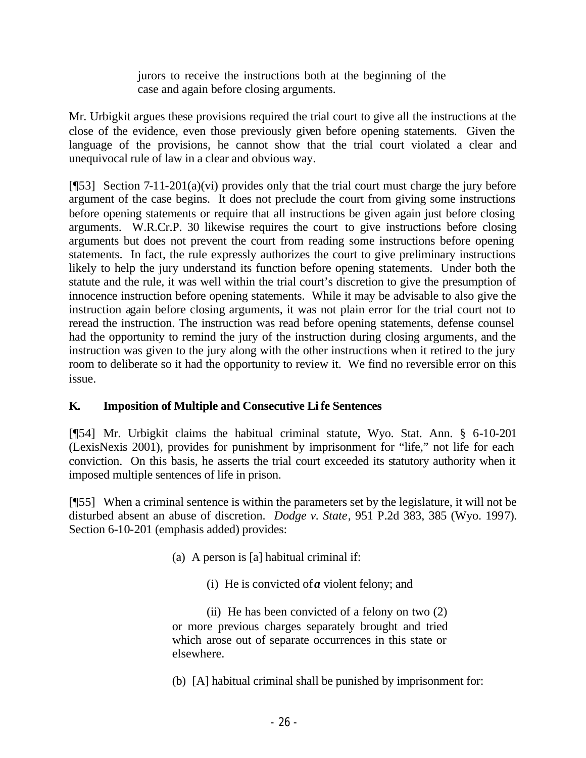jurors to receive the instructions both at the beginning of the case and again before closing arguments.

Mr. Urbigkit argues these provisions required the trial court to give all the instructions at the close of the evidence, even those previously given before opening statements. Given the language of the provisions, he cannot show that the trial court violated a clear and unequivocal rule of law in a clear and obvious way.

[ $[$ 53] Section 7-11-201(a)(vi) provides only that the trial court must charge the jury before argument of the case begins. It does not preclude the court from giving some instructions before opening statements or require that all instructions be given again just before closing arguments. W.R.Cr.P. 30 likewise requires the court to give instructions before closing arguments but does not prevent the court from reading some instructions before opening statements. In fact, the rule expressly authorizes the court to give preliminary instructions likely to help the jury understand its function before opening statements. Under both the statute and the rule, it was well within the trial court's discretion to give the presumption of innocence instruction before opening statements. While it may be advisable to also give the instruction again before closing arguments, it was not plain error for the trial court not to reread the instruction. The instruction was read before opening statements, defense counsel had the opportunity to remind the jury of the instruction during closing arguments, and the instruction was given to the jury along with the other instructions when it retired to the jury room to deliberate so it had the opportunity to review it. We find no reversible error on this issue.

# **K. Imposition of Multiple and Consecutive Li fe Sentences**

[¶54] Mr. Urbigkit claims the habitual criminal statute, Wyo. Stat. Ann. § 6-10-201 (LexisNexis 2001), provides for punishment by imprisonment for "life," not life for each conviction. On this basis, he asserts the trial court exceeded its statutory authority when it imposed multiple sentences of life in prison.

[¶55] When a criminal sentence is within the parameters set by the legislature, it will not be disturbed absent an abuse of discretion. *Dodge v. State*, 951 P.2d 383, 385 (Wyo. 1997). Section 6-10-201 (emphasis added) provides:

- (a) A person is [a] habitual criminal if:
	- (i) He is convicted of *a* violent felony; and

(ii) He has been convicted of a felony on two (2) or more previous charges separately brought and tried which arose out of separate occurrences in this state or elsewhere.

(b) [A] habitual criminal shall be punished by imprisonment for: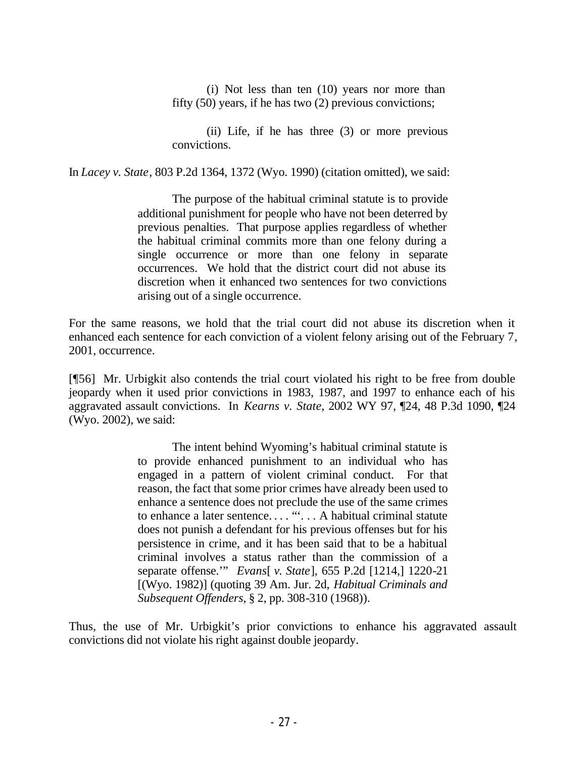(i) Not less than ten (10) years nor more than fifty (50) years, if he has two (2) previous convictions;

(ii) Life, if he has three (3) or more previous convictions.

In *Lacey v. State*, 803 P.2d 1364, 1372 (Wyo. 1990) (citation omitted), we said:

The purpose of the habitual criminal statute is to provide additional punishment for people who have not been deterred by previous penalties. That purpose applies regardless of whether the habitual criminal commits more than one felony during a single occurrence or more than one felony in separate occurrences. We hold that the district court did not abuse its discretion when it enhanced two sentences for two convictions arising out of a single occurrence.

For the same reasons, we hold that the trial court did not abuse its discretion when it enhanced each sentence for each conviction of a violent felony arising out of the February 7, 2001, occurrence.

[¶56] Mr. Urbigkit also contends the trial court violated his right to be free from double jeopardy when it used prior convictions in 1983, 1987, and 1997 to enhance each of his aggravated assault convictions. In *Kearns v. State*, 2002 WY 97, ¶24, 48 P.3d 1090, ¶24 (Wyo. 2002), we said:

> The intent behind Wyoming's habitual criminal statute is to provide enhanced punishment to an individual who has engaged in a pattern of violent criminal conduct. For that reason, the fact that some prior crimes have already been used to enhance a sentence does not preclude the use of the same crimes to enhance a later sentence.... ""... A habitual criminal statute does not punish a defendant for his previous offenses but for his persistence in crime, and it has been said that to be a habitual criminal involves a status rather than the commission of a separate offense.'" *Evans*[ *v. State*], 655 P.2d [1214,] 1220-21 [(Wyo. 1982)] (quoting 39 Am. Jur. 2d, *Habitual Criminals and Subsequent Offenders*, § 2, pp. 308-310 (1968)).

Thus, the use of Mr. Urbigkit's prior convictions to enhance his aggravated assault convictions did not violate his right against double jeopardy.